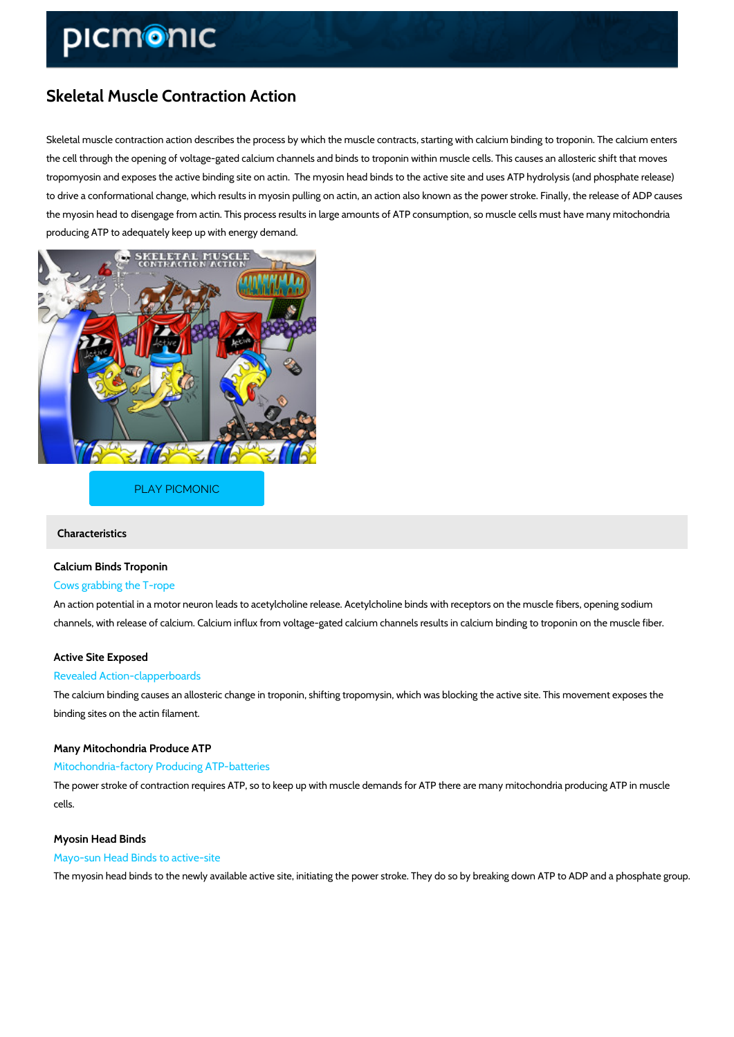# Skeletal Muscle Contraction Action

Skeletal muscle contraction action describes the process by which the muscle contracts, starti the cell through the opening of voltage-gated calcium channels and binds to troponin within mu tropomyosin and exposes the active binding site on actin. The myosin head binds to the active to drive a conformational change, which results in myosin pulling on actin, an action also know the myosin head to disengage from actin. This process results in large amounts of ATP consum producing ATP to adequately keep up with energy demand.

#### [PLAY PICMONIC](https://www.picmonic.com/learn/skeletal-muscle-contraction-action_771?utm_source=downloadable_content&utm_medium=distributedcontent&utm_campaign=pathways_pdf&utm_content=Skeletal Muscle Contraction Action&utm_ad_group=leads&utm_market=all)

Characteristics

# Calcium Binds Troponin

### Cows grabbing the T-rope

An action potential in a motor neuron leads to acetylcholine release. Acetylcholine binds with channels, with release of calcium. Calcium influx from voltage-gated calcium channels results

#### Active Site Exposed

#### Revealed Action-clapperboards

The calcium binding causes an allosteric change in troponin, shifting tropomysin, which was b binding sites on the actin filament.

#### Many Mitochondria Produce ATP

#### Mitochondria-factory Producing ATP-batteries

The power stroke of contraction requires ATP, so to keep up with muscle demands for ATP the cells.

#### Myosin Head Binds

#### Mayo-sun Head Binds to active-site

The myosin head binds to the newly available active site, initiating the power stroke. They do